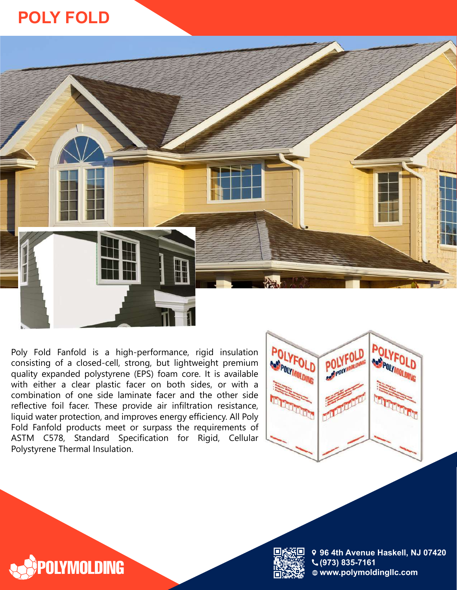## **POLY FOLD**



Poly Fold Fanfold is a high-performance, rigid insulation consisting of a closed-cell, strong, but lightweight premium quality expanded polystyrene (EPS) foam core. It is available with either a clear plastic facer on both sides, or with a combination of one side laminate facer and the other side reflective foil facer. These provide air infiltration resistance, liquid water protection, and improves energy efficiency. All Poly Fold Fanfold products meet or surpass the requirements of ASTM C578, Standard Specification for Rigid, Cellular Polystyrene Thermal Insulation.







**9 4th Avenue Haskell, NJ 07420 (9 ) 835-7161 www.polymoldingllc.com**